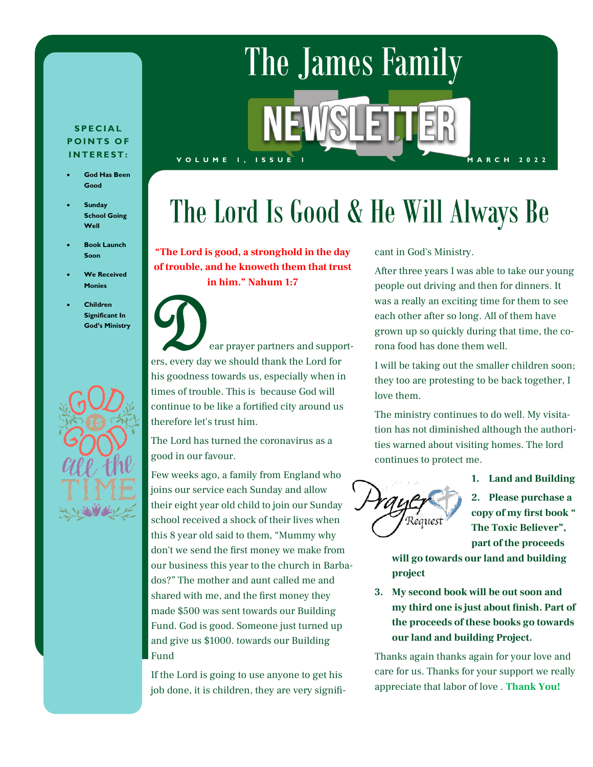# The James Family **V O L U M E 1, ISSUE 1 MARCH 2022**

### **S P E C I A L POINTS OF I N T E R E S T :**

- **God Has Been Good**
- **Sunday School Going Well**
- **Book Launch Soon**
- **We Received Monies**
- **Children Significant In God's Ministry**



## The Lord Is Good & He Will Always Be

**"The Lord is good, a stronghold in the day of trouble, and he knoweth them that trust in him." Nahum 1:7**

D ear prayer partners and support-ers, every day we should thank the Lord for his goodness towards us, especially when in times of trouble. This is because God will continue to be like a fortified city around us therefore let's trust him.

The Lord has turned the coronavirus as a good in our favour.

Few weeks ago, a family from England who joins our service each Sunday and allow their eight year old child to join our Sunday school received a shock of their lives when this 8 year old said to them, "Mummy why don't we send the first money we make from our business this year to the church in Barbados?" The mother and aunt called me and shared with me, and the first money they made \$500 was sent towards our Building Fund. God is good. Someone just turned up and give us \$1000. towards our Building Fund

If the Lord is going to use anyone to get his job done, it is children, they are very significant in God's Ministry.

After three years I was able to take our young people out driving and then for dinners. It was a really an exciting time for them to see each other after so long. All of them have grown up so quickly during that time, the corona food has done them well.

I will be taking out the smaller children soon; they too are protesting to be back together, I love them.

The ministry continues to do well. My visitation has not diminished although the authorities warned about visiting homes. The lord continues to protect me.



**1. Land and Building** 

**2. Please purchase a copy of my first book " The Toxic Believer", part of the proceeds** 

**will go towards our land and building project**

**3. My second book will be out soon and my third one is just about finish. Part of the proceeds of these books go towards our land and building Project.**

Thanks again thanks again for your love and care for us. Thanks for your support we really appreciate that labor of love . **Thank You!**